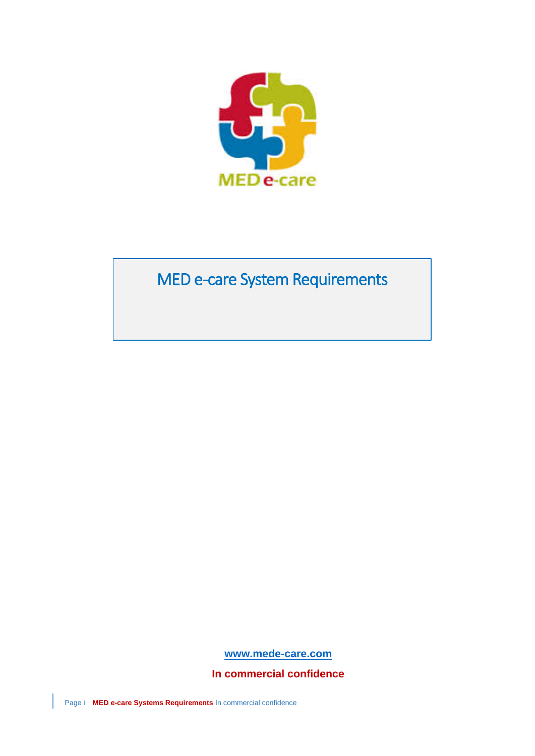

# MED e-care System Requirements

j

**[www.mede-care.com](http://www.mede-care.com/)**

**In commercial confidence** 

Page i **MED e-care Systems Requirements** In commercial confidence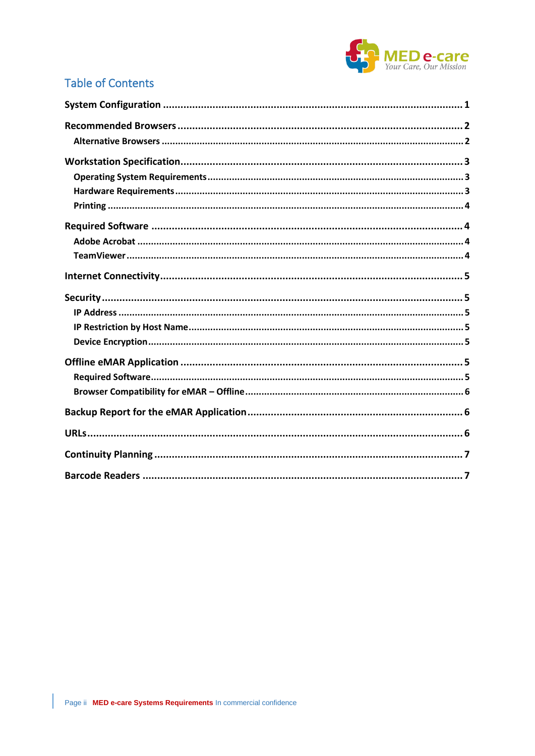

#### **Table of Contents**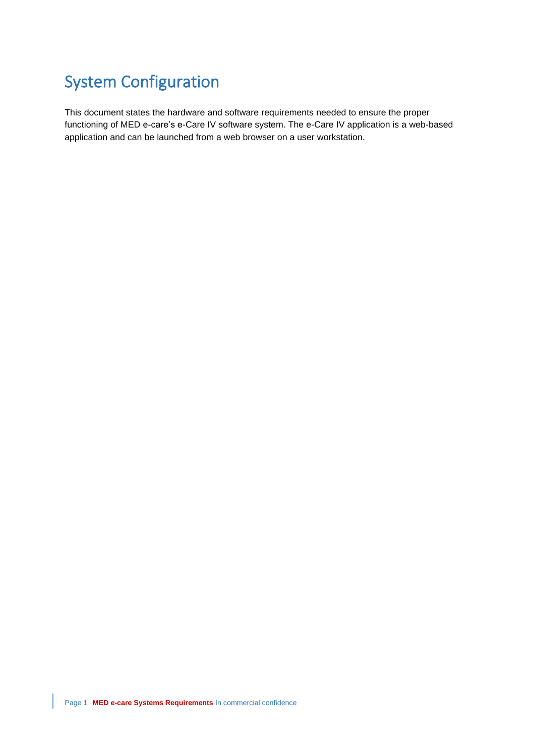# <span id="page-2-0"></span>System Configuration

This document states the hardware and software requirements needed to ensure the proper functioning of MED e-care's e-Care IV software system. The e-Care IV application is a web-based application and can be launched from a web browser on a user workstation.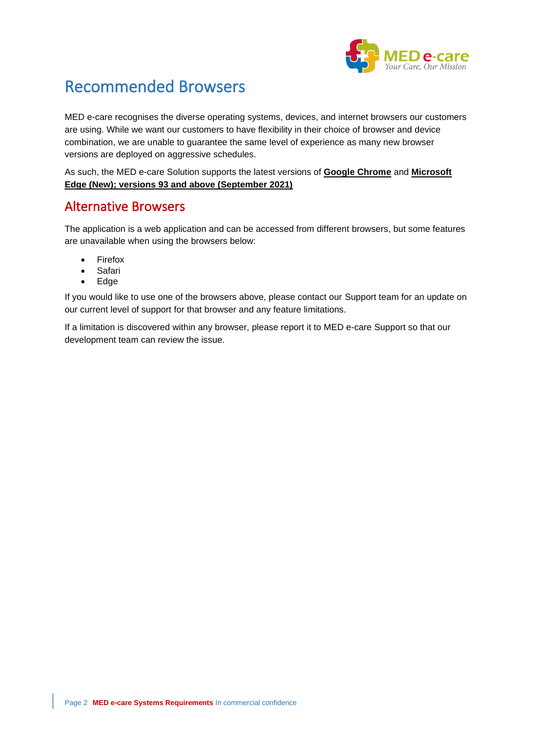

# <span id="page-3-0"></span>Recommended Browsers

MED e-care recognises the diverse operating systems, devices, and internet browsers our customers are using. While we want our customers to have flexibility in their choice of browser and device combination, we are unable to guarantee the same level of experience as many new browser versions are deployed on aggressive schedules.

As such, the MED e-care Solution supports the latest versions of **Google Chrome** and **Microsoft Edge (New); versions 93 and above (September 2021)**

#### <span id="page-3-1"></span>Alternative Browsers

The application is a web application and can be accessed from different browsers, but some features are unavailable when using the browsers below:

- **Firefox**
- **Safari**
- Edge

If you would like to use one of the browsers above, please contact our Support team for an update on our current level of support for that browser and any feature limitations.

If a limitation is discovered within any browser, please report it to MED e-care Support so that our development team can review the issue.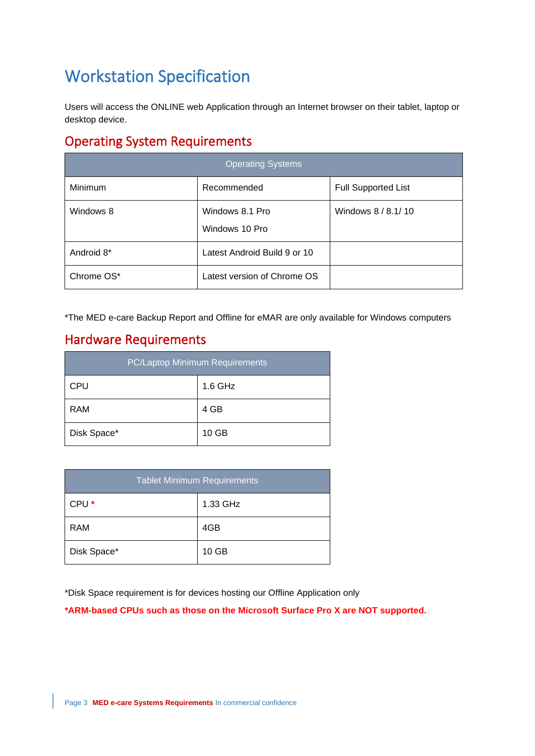# <span id="page-4-0"></span>Workstation Specification

Users will access the ONLINE web Application through an Internet browser on their tablet, laptop or desktop device.

### <span id="page-4-1"></span>Operating System Requirements

| <b>Operating Systems</b> |                                   |                            |  |
|--------------------------|-----------------------------------|----------------------------|--|
| Minimum                  | Recommended                       | <b>Full Supported List</b> |  |
| Windows 8                | Windows 8.1 Pro<br>Windows 10 Pro | Windows 8 / 8.1/10         |  |
| Android 8*               | Latest Android Build 9 or 10      |                            |  |
| Chrome OS*               | Latest version of Chrome OS       |                            |  |

\*The MED e-care Backup Report and Offline for eMAR are only available for Windows computers

#### <span id="page-4-2"></span>Hardware Requirements

| <b>PC/Laptop Minimum Requirements</b> |         |  |
|---------------------------------------|---------|--|
| <b>CPU</b>                            | 1.6 GHz |  |
| <b>RAM</b>                            | 4 GB    |  |
| Disk Space*                           | 10 GB   |  |

| <b>Tablet Minimum Requirements</b> |          |  |
|------------------------------------|----------|--|
| CPU <sup>*</sup>                   | 1.33 GHz |  |
| <b>RAM</b>                         | 4GB      |  |
| Disk Space*                        | 10 GB    |  |

\*Disk Space requirement is for devices hosting our Offline Application only

**\*ARM-based CPUs such as those on the Microsoft Surface Pro X are NOT supported.**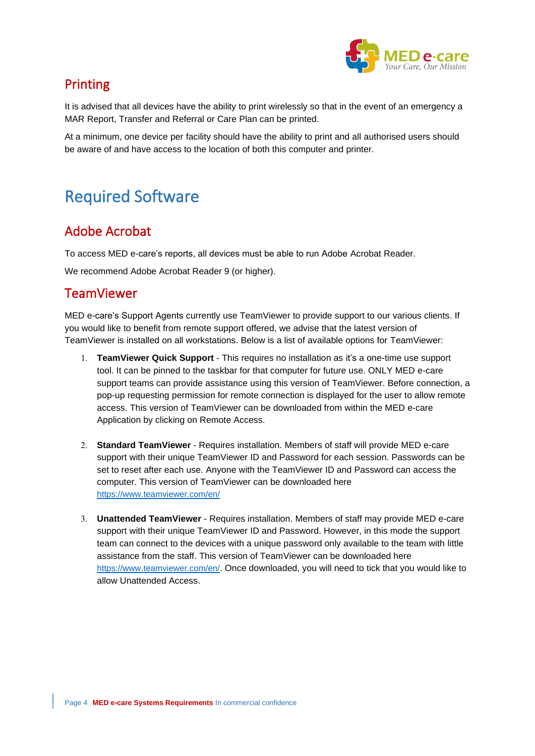

#### <span id="page-5-0"></span>Printing

It is advised that all devices have the ability to print wirelessly so that in the event of an emergency a MAR Report, Transfer and Referral or Care Plan can be printed.

At a minimum, one device per facility should have the ability to print and all authorised users should be aware of and have access to the location of both this computer and printer.

# <span id="page-5-1"></span>Required Software

#### <span id="page-5-2"></span>Adobe Acrobat

To access MED e-care's reports, all devices must be able to run Adobe Acrobat Reader.

We recommend Adobe Acrobat Reader 9 (or higher).

#### <span id="page-5-3"></span>**TeamViewer**

MED e-care's Support Agents currently use TeamViewer to provide support to our various clients. If you would like to benefit from remote support offered, we advise that the latest version of TeamViewer is installed on all workstations. Below is a list of available options for TeamViewer:

- 1. **TeamViewer Quick Support** This requires no installation as it's a one-time use support tool. It can be pinned to the taskbar for that computer for future use. ONLY MED e-care support teams can provide assistance using this version of TeamViewer. Before connection, a pop-up requesting permission for remote connection is displayed for the user to allow remote access. This version of TeamViewer can be downloaded from within the MED e-care Application by clicking on Remote Access.
- 2. **Standard TeamViewer** Requires installation. Members of staff will provide MED e-care support with their unique TeamViewer ID and Password for each session. Passwords can be set to reset after each use. Anyone with the TeamViewer ID and Password can access the computer. This version of TeamViewer can be downloaded here <https://www.teamviewer.com/en/>
- 3. **Unattended TeamViewer** Requires installation. Members of staff may provide MED e-care support with their unique TeamViewer ID and Password. However, in this mode the support team can connect to the devices with a unique password only available to the team with little assistance from the staff. This version of TeamViewer can be downloaded here <https://www.teamviewer.com/en/>. Once downloaded, you will need to tick that you would like to allow Unattended Access.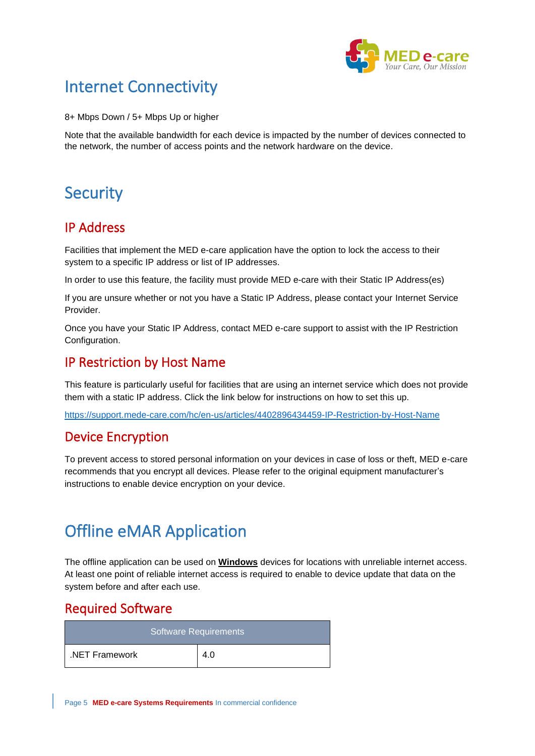

### <span id="page-6-0"></span>Internet Connectivity

8+ Mbps Down / 5+ Mbps Up or higher

Note that the available bandwidth for each device is impacted by the number of devices connected to the network, the number of access points and the network hardware on the device.

# <span id="page-6-1"></span>**Security**

#### <span id="page-6-2"></span>IP Address

Facilities that implement the MED e-care application have the option to lock the access to their system to a specific IP address or list of IP addresses.

In order to use this feature, the facility must provide MED e-care with their Static IP Address(es)

If you are unsure whether or not you have a Static IP Address, please contact your Internet Service Provider.

Once you have your Static IP Address, contact MED e-care support to assist with the IP Restriction Configuration.

#### <span id="page-6-3"></span>IP Restriction by Host Name

This feature is particularly useful for facilities that are using an internet service which does not provide them with a static IP address. Click the link below for instructions on how to set this up.

<https://support.mede-care.com/hc/en-us/articles/4402896434459-IP-Restriction-by-Host-Name>

#### <span id="page-6-4"></span>Device Encryption

To prevent access to stored personal information on your devices in case of loss or theft, MED e-care recommends that you encrypt all devices. Please refer to the original equipment manufacturer's instructions to enable device encryption on your device.

# <span id="page-6-5"></span>Offline eMAR Application

The offline application can be used on **Windows** devices for locations with unreliable internet access. At least one point of reliable internet access is required to enable to device update that data on the system before and after each use.

#### <span id="page-6-6"></span>Required Software

| Software Requirements |  |  |
|-----------------------|--|--|
| .NET Framework        |  |  |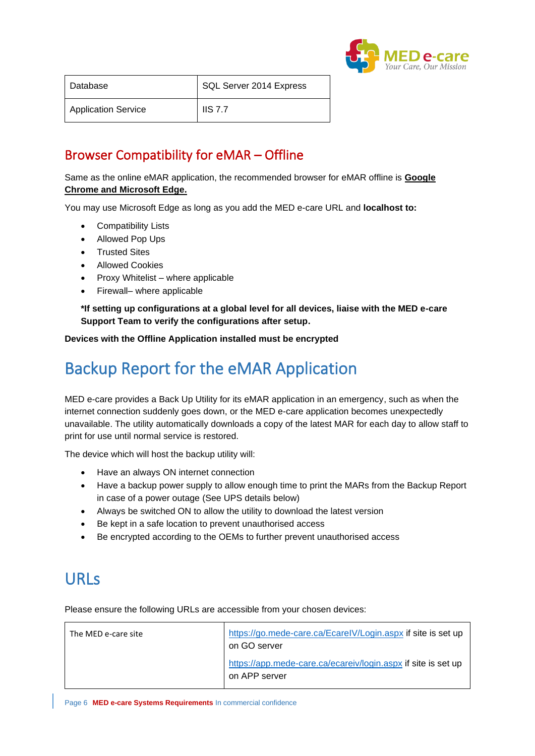

| Database                   | SQL Server 2014 Express |
|----------------------------|-------------------------|
| <b>Application Service</b> | <b>IIS 7.7</b>          |

### <span id="page-7-0"></span>Browser Compatibility for eMAR – Offline

Same as the online eMAR application, the recommended browser for eMAR offline is **Google Chrome and Microsoft Edge.**

You may use Microsoft Edge as long as you add the MED e-care URL and **localhost to:**

- Compatibility Lists
- Allowed Pop Ups
- Trusted Sites
- Allowed Cookies
- Proxy Whitelist where applicable
- Firewall– where applicable

**\*If setting up configurations at a global level for all devices, liaise with the MED e-care Support Team to verify the configurations after setup.**

**Devices with the Offline Application installed must be encrypted** 

# <span id="page-7-1"></span>Backup Report for the eMAR Application

MED e-care provides a Back Up Utility for its eMAR application in an emergency, such as when the internet connection suddenly goes down, or the MED e-care application becomes unexpectedly unavailable. The utility automatically downloads a copy of the latest MAR for each day to allow staff to print for use until normal service is restored.

The device which will host the backup utility will:

- Have an always ON internet connection
- Have a backup power supply to allow enough time to print the MARs from the Backup Report in case of a power outage (See UPS details below)
- Always be switched ON to allow the utility to download the latest version
- Be kept in a safe location to prevent unauthorised access
- Be encrypted according to the OEMs to further prevent unauthorised access

### <span id="page-7-2"></span>URLs

Please ensure the following URLs are accessible from your chosen devices:

| The MED e-care site | https://go.mede-care.ca/EcarelV/Login.aspx if site is set up<br>on GO server   |
|---------------------|--------------------------------------------------------------------------------|
|                     | https://app.mede-care.ca/ecareiv/login.aspx if site is set up<br>on APP server |

Page 6 **MED e-care Systems Requirements** In commercial confidence